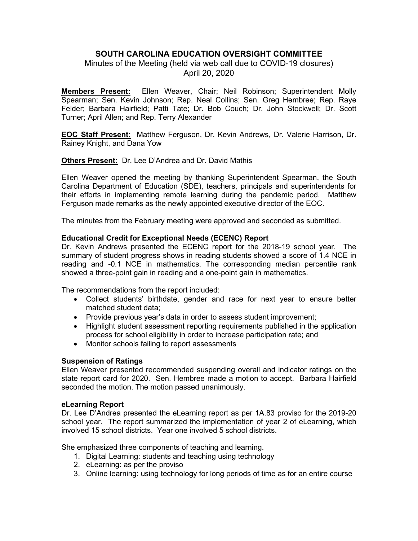# **SOUTH CAROLINA EDUCATION OVERSIGHT COMMITTEE**

Minutes of the Meeting (held via web call due to COVID-19 closures) April 20, 2020

**Members Present:** Ellen Weaver, Chair; Neil Robinson; Superintendent Molly Spearman; Sen. Kevin Johnson; Rep. Neal Collins; Sen. Greg Hembree; Rep. Raye Felder; Barbara Hairfield; Patti Tate; Dr. Bob Couch; Dr. John Stockwell; Dr. Scott Turner; April Allen; and Rep. Terry Alexander

**EOC Staff Present:** Matthew Ferguson, Dr. Kevin Andrews, Dr. Valerie Harrison, Dr. Rainey Knight, and Dana Yow

**Others Present:** Dr. Lee D'Andrea and Dr. David Mathis

Ellen Weaver opened the meeting by thanking Superintendent Spearman, the South Carolina Department of Education (SDE), teachers, principals and superintendents for their efforts in implementing remote learning during the pandemic period. Matthew Ferguson made remarks as the newly appointed executive director of the EOC.

The minutes from the February meeting were approved and seconded as submitted.

# **Educational Credit for Exceptional Needs (ECENC) Report**

Dr. Kevin Andrews presented the ECENC report for the 2018-19 school year. The summary of student progress shows in reading students showed a score of 1.4 NCE in reading and -0.1 NCE in mathematics. The corresponding median percentile rank showed a three-point gain in reading and a one-point gain in mathematics.

The recommendations from the report included:

- Collect students' birthdate, gender and race for next year to ensure better matched student data;
- Provide previous year's data in order to assess student improvement;
- Highlight student assessment reporting requirements published in the application process for school eligibility in order to increase participation rate; and
- Monitor schools failing to report assessments

## **Suspension of Ratings**

Ellen Weaver presented recommended suspending overall and indicator ratings on the state report card for 2020. Sen. Hembree made a motion to accept. Barbara Hairfield seconded the motion. The motion passed unanimously.

## **eLearning Report**

Dr. Lee D'Andrea presented the eLearning report as per 1A.83 proviso for the 2019-20 school year. The report summarized the implementation of year 2 of eLearning, which involved 15 school districts. Year one involved 5 school districts.

She emphasized three components of teaching and learning.

- 1. Digital Learning: students and teaching using technology
- 2. eLearning: as per the proviso
- 3. Online learning: using technology for long periods of time as for an entire course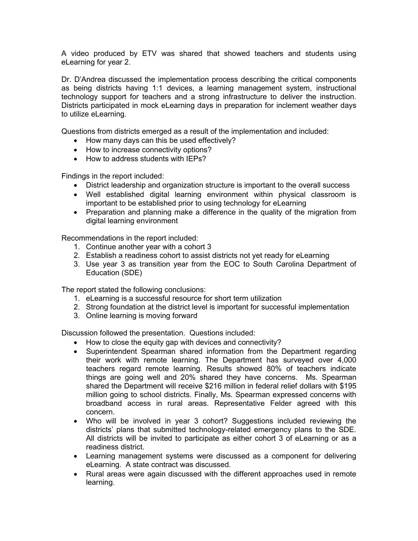A video produced by ETV was shared that showed teachers and students using eLearning for year 2.

Dr. D'Andrea discussed the implementation process describing the critical components as being districts having 1:1 devices, a learning management system, instructional technology support for teachers and a strong infrastructure to deliver the instruction. Districts participated in mock eLearning days in preparation for inclement weather days to utilize eLearning.

Questions from districts emerged as a result of the implementation and included:

- How many days can this be used effectively?
- How to increase connectivity options?
- How to address students with IEPs?

Findings in the report included:

- District leadership and organization structure is important to the overall success
- Well established digital learning environment within physical classroom is important to be established prior to using technology for eLearning
- Preparation and planning make a difference in the quality of the migration from digital learning environment

Recommendations in the report included:

- 1. Continue another year with a cohort 3
- 2. Establish a readiness cohort to assist districts not yet ready for eLearning
- 3. Use year 3 as transition year from the EOC to South Carolina Department of Education (SDE)

The report stated the following conclusions:

- 1. eLearning is a successful resource for short term utilization
- 2. Strong foundation at the district level is important for successful implementation
- 3. Online learning is moving forward

Discussion followed the presentation. Questions included:

- How to close the equity gap with devices and connectivity?
- Superintendent Spearman shared information from the Department regarding their work with remote learning. The Department has surveyed over 4,000 teachers regard remote learning. Results showed 80% of teachers indicate things are going well and 20% shared they have concerns. Ms. Spearman shared the Department will receive \$216 million in federal relief dollars with \$195 million going to school districts. Finally, Ms. Spearman expressed concerns with broadband access in rural areas. Representative Felder agreed with this concern.
- Who will be involved in year 3 cohort? Suggestions included reviewing the districts' plans that submitted technology-related emergency plans to the SDE. All districts will be invited to participate as either cohort 3 of eLearning or as a readiness district.
- Learning management systems were discussed as a component for delivering eLearning. A state contract was discussed.
- Rural areas were again discussed with the different approaches used in remote learning.